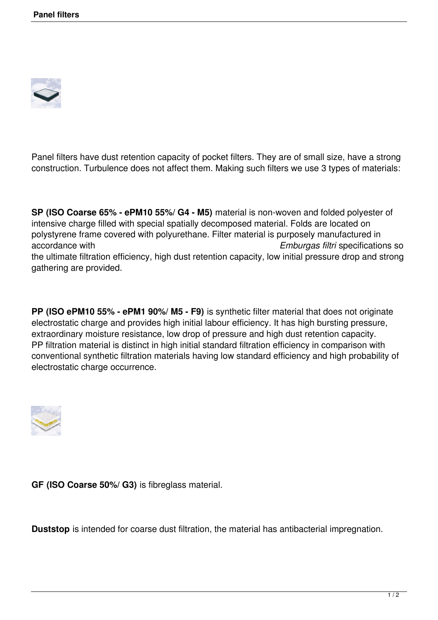

Panel filters have dust retention capacity of pocket filters. They are of small size, have a strong construction. Turbulence does not affect them. Making such filters we use 3 types of materials:

**SP (ISO Coarse 65% - ePM10 55%/ G4 - M5)** material is non-woven and folded polyester of intensive charge filled with special spatially decomposed material. Folds are located on polystyrene frame covered with polyurethane. Filter material is purposely manufactured in accordance with *Emburgas filtri* specifications so the ultimate filtration efficiency, high dust retention capacity, low initial pressure drop and strong gathering are provided.

**PP (ISO ePM10 55% - ePM1 90%/ M5 - F9)** is synthetic filter material that does not originate electrostatic charge and provides high initial labour efficiency. It has high bursting pressure, extraordinary moisture resistance, low drop of pressure and high dust retention capacity. PP filtration material is distinct in high initial standard filtration efficiency in comparison with conventional synthetic filtration materials having low standard efficiency and high probability of electrostatic charge occurrence.



**GF (ISO Coarse 50%/ G3)** is fibreglass material.

**Duststop** is intended for coarse dust filtration, the material has antibacterial impregnation.